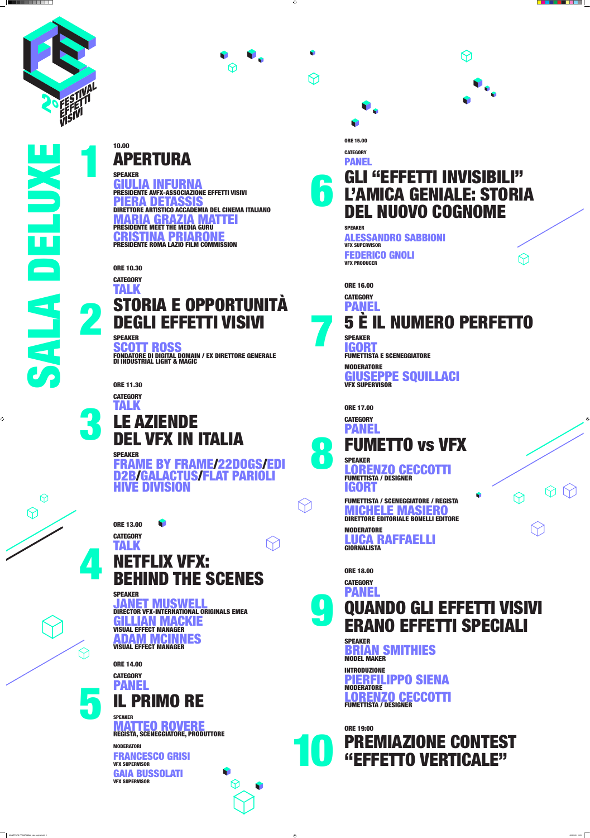10.00 APERTURA

SPEAKER GIULIA INFURNA **\Zione effetti visivi** PIERA DETASSIS **DEMIA DEL CINEMA ITALIANO** MARIA GRAZIA MATTEI PRESIDENTE MEET THE MEDIA GURU CRISTINA PRIARONE PRESIDENTE ROMA LAZIO FILM COMMISSION

SPEAKER FRAME BY FRAME/22DOGS/EDI D2B/GALACTUS/FLAT PAR ION

ORE 10.30



# STORIA E OPPORTUNITÀ DEGLI EFFETTI VISIVI

SPEAKER SCOTT ROSS FONDATORE DI DIGITAL DOMAIN / EX DIRETTORE GENERALE DI INDUSTRIAL LIGHT & MAGIC

ORE 11.30

**CATEGORY** 

3

TALK LE AZIENDE DEL VFX IN ITALIA

## GLI "EFFETTI INVISIBILI" L'AMICA GENIALE: STORIA DEL NUOVO COGNOME 6

DRO SABBIONI VFX SUPERVISOR

ORE 13.00 **CATEGORY** TALK

# NETFLIX VFX: BEHIND THE SCENES

**CATEGORY** PANEL

FUMETTO vs VFX 8

SPEAKER JANET MUSWELL DIRECTOR VFX-INTERNATIONAL ORIGINALS EMEA GILLIAN MACKIE VISUAL EFFECT MANAGER **ADAM MCINNES** VISUAL EFFECT MANAGER

MODERATORE LUCA RAFFAELLI **GIORNALISTA** 

ORE 18.00 **CATEGORY** PANEL QUANDO GLI EFFETTI VISIVI ERANO EFFETTI SPECIALI 9

V

 $\diagup$ 

ORE 14.00 **CATEGORY** PANEL IL PRIMO RE

SPEAKER MATTEO ROVERE REGISTA, SCENEGGIATORE, PRODUTTORE

 $\Theta$ 

 $\mathbf{r}$ 

MODERATORI

FRANCESCO GRISI VFX SUPERVISOR

GAIA BUSSOLATI VFX SUPERVISOR

### ORE 15.OO

 $\bigoplus$ 

V

**CATEGORY** 

#### PANEL

SPEAKER

FEDERICO GNOLI

SALA DELEN **Contract Contract Contract Contract** 2  $\blacktriangleleft$  $\blacktriangleleft$ 

 $\bigcirc$ 

 $\bigotimes$ 

VFX PRODUCER

ORE 16.00 **CATEGORY** PANEL 5 È IL NUMERO PERFETTO SPEAKER IGORT FUMETTISTA E SCENEGGIATORE MODERATORE

GIUSEPPE SQUILLACI VFX SUPERVISOR

ORE 17.00

SPEAKER NZO CECCOTTI FUMETTISTA / DESIGNER IGORT

FUMETTISTA / SCENEGGIATORE / REGISTA MICHELE MASIERO DIRETTORE EDITORIALE BONELLI EDITORE

SPEAKER BRIAN SMITHIES MODEL MAKER

INTRODUZIONE PIERFILIPPO SIENA **MODERATORE** RENZO CECCOTTI FUMETTISTA / DESIGNER

ORE 19:00



1

4

5

7





 $\bigoplus$